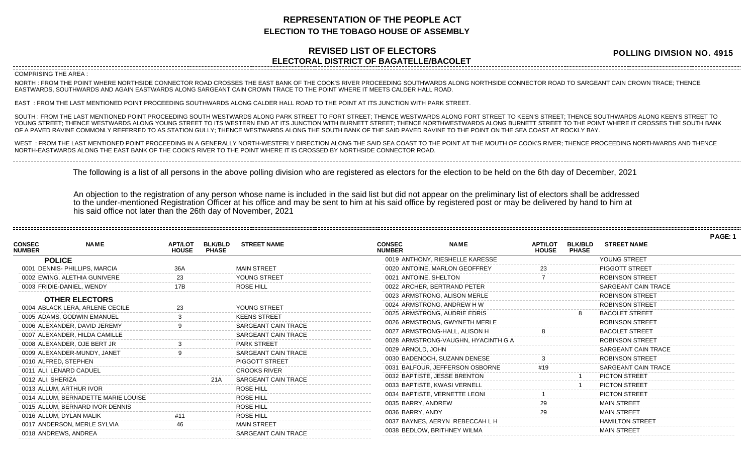## **REPRESENTATION OF THE PEOPLE ACT ELECTION TO THE TOBAGO HOUSE OF ASSEMBLY**

## **REVISED LIST OF ELECTORS ELECTORAL DISTRICT OF BAGATELLE/BACOLET**

**POLLING DIVISION NO. 4915** 

**PAGE: 1**

COMPRISING THE AREA :

NORTH : FROM THE POINT WHERE NORTHSIDE CONNECTOR ROAD CROSSES THE EAST BANK OF THE COOK'S RIVER PROCEEDING SOUTHWARDS ALONG NORTHSIDE CONNECTOR ROAD TO SARGEANT CAIN CROWN TRACE; THENCE EASTWARDS, SOUTHWARDS AND AGAIN EASTWARDS ALONG SARGEANT CAIN CROWN TRACE TO THE POINT WHERE IT MEETS CALDER HALL ROAD.

EAST : FROM THE LAST MENTIONED POINT PROCEEDING SOUTHWARDS ALONG CALDER HALL ROAD TO THE POINT AT ITS JUNCTION WITH PARK STREET.

SOUTH : FROM THE LAST MENTIONED POINT PROCEEDING SOUTH WESTWARDS ALONG PARK STREET TO FORT STREET; THENCE WESTWARDS ALONG FORT STREET TO KEEN'S STREET; THENCE SOUTHWARDS ALONG KEEN'S STREET TO YOUNG STREET; THENCE WESTWARDS ALONG YOUNG STREET TO ITS WESTERN END AT ITS JUNCTION WITH BURNETT STREET; THENCE NORTHWESTWARDS ALONG BURNETT STREET TO THE POINT WHERE IT CROSSES THE SOUTH BANK OF A PAVED RAVINE COMMONLY REFERRED TO AS STATION GULLY; THENCE WESTWARDS ALONG THE SOUTH BANK OF THE SAID PAVED RAVINE TO THE POINT ON THE SEA COAST AT ROCKLY BAY.

WEST : FROM THE LAST MENTIONED POINT PROCEEDING IN A GENERALLY NORTH-WESTERLY DIRECTION ALONG THE SAID SEA COAST TO THE POINT AT THE MOUTH OF COOK'S RIVER; THENCE PROCEEDING NORTHWARDS AND THENCE NORTH-EASTWARDS ALONG THE EAST BANK OF THE COOK'S RIVER TO THE POINT WHERE IT IS CROSSED BY NORTHSIDE CONNECTOR ROAD.

The following is a list of all persons in the above polling division who are registered as electors for the election to be held on the 6th day of December, 2021

An objection to the registration of any person whose name is included in the said list but did not appear on the preliminary list of electors shall be addressed to the under-mentioned Registration Officer at his office and may be sent to him at his said office by registered post or may be delivered by hand to him at his said office not later than the 26th day of November, 2021

|                                |                                     |                                |                                |                               |                                |                                     |                                |                                |                        | . פטר |
|--------------------------------|-------------------------------------|--------------------------------|--------------------------------|-------------------------------|--------------------------------|-------------------------------------|--------------------------------|--------------------------------|------------------------|-------|
| <b>CONSEC</b><br><b>NUMBER</b> | <b>NAME</b>                         | <b>APT/LOT</b><br><b>HOUSE</b> | <b>BLK/BLD</b><br><b>PHASE</b> | <b>STREET NAME</b>            | <b>CONSEC</b><br><b>NUMBER</b> | <b>NAME</b>                         | <b>APT/LOT</b><br><b>HOUSE</b> | <b>BLK/BLD</b><br><b>PHASE</b> | <b>STREET NAME</b>     |       |
| <b>POLICE</b>                  |                                     |                                |                                |                               |                                | 0019 ANTHONY, RIESHELLE KARESSE     |                                |                                | YOUNG STREET           |       |
|                                | 0001 DENNIS- PHILLIPS, MARCIA       |                                |                                | <b>MAIN STREET</b>            |                                | 0020 ANTOINE, MARLON GEOFFREY       |                                |                                | <b>PIGGOTT STREET</b>  |       |
|                                | 0002 EWING, ALETHIA GUNIVERE        |                                |                                | YOUNG STREET                  | 0021 ANTOINE, SHELTON          |                                     |                                |                                | <b>ROBINSON STREET</b> |       |
| 0003 FRIDIE-DANIEL, WENDY      |                                     |                                |                                | <b>ROSE HILL</b>              |                                | 0022 ARCHER, BERTRAND PETER         |                                |                                | SARGEANT CAIN TRACE    |       |
|                                | <b>OTHER ELECTORS</b>               |                                |                                |                               |                                | 0023 ARMSTRONG, ALISON MERLE        |                                |                                | <b>ROBINSON STREET</b> |       |
|                                | 0004 ABLACK LERA, ARLENE CECILE     |                                |                                | YOUNG STREET                  |                                | 0024 ARMSTRONG, ANDREW HW           |                                |                                | <b>ROBINSON STREET</b> |       |
|                                | 0005 ADAMS, GODWIN EMANUEL          |                                |                                | <b>KEENS STREET</b>           |                                | 0025 ARMSTRONG, AUDRIE EDRIS        |                                |                                | <b>BACOLET STREET</b>  |       |
|                                | 0006 ALEXANDER, DAVID JEREMY        |                                |                                | <b>SARGEANT CAIN TRACE</b>    |                                | 0026 ARMSTRONG, GWYNETH MERLE       |                                |                                | <b>ROBINSON STREET</b> |       |
|                                | 0007 ALEXANDER, HILDA CAMILLE       |                                |                                | <b>SARGEANT CAIN TRACE</b>    |                                | 0027 ARMSTRONG-HALL, ALISON H       |                                |                                | <b>BACOLET STREET</b>  |       |
|                                | 0008 ALEXANDER, OJE BERT JR         |                                |                                | <b>PARK STREET</b>            |                                | 0028 ARMSTRONG-VAUGHN, HYACINTH G A |                                |                                | <b>ROBINSON STREET</b> |       |
|                                | 0009 ALEXANDER-MUNDY, JANET         |                                |                                | <b>SARGEANT CAIN TRACE</b>    | 0029 ARNOLD, JOHN              |                                     |                                |                                | SARGEANT CAIN TRACE    |       |
| 0010 ALFRED, STEPHEN           |                                     |                                |                                | PIGGOTT STREET                |                                | 0030 BADENOCH, SUZANN DENESE        |                                |                                | <b>ROBINSON STREET</b> |       |
| 0011 ALI, LENARD CADUEL        |                                     |                                |                                | <b>CROOKS RIVER</b>           |                                | 0031 BALFOUR, JEFFERSON OSBORNE     |                                |                                | SARGEANT CAIN TRACE    |       |
| 0012 ALI, SHERIZA              |                                     |                                | 21A                            | SARGEANT CAIN TRACE           |                                | 0032 BAPTISTE, JESSE BRENTON        |                                |                                | <b>PICTON STREET</b>   |       |
| 0013 ALLUM, ARTHUR IVOR        |                                     |                                |                                | ROSE HILL                     | 0033 BAPTISTE, KWASI VERNELL   |                                     |                                |                                | <b>PICTON STREET</b>   |       |
|                                | 0014 ALLUM, BERNADETTE MARIE LOUISE |                                |                                | <b>ROSE HILL</b>              |                                | 0034 BAPTISTE, VERNETTE LEONI       |                                |                                | <b>PICTON STREET</b>   |       |
|                                | 0015 ALLUM, BERNARD IVOR DENNIS     |                                |                                |                               | 0035 BARRY, ANDREW             |                                     |                                |                                | <b>MAIN STREET</b>     |       |
| 0016 ALLUM, DYLAN MALIK        |                                     |                                |                                | ROSE HILL<br><b>ROSE HILL</b> | 0036 BARRY, ANDY               |                                     |                                |                                | <b>MAIN STREET</b>     |       |
|                                | 0017 ANDERSON, MERLE SYLVIA         |                                |                                | <b>MAIN STREET</b>            |                                | 0037 BAYNES, AERYN REBECCAH L H     |                                |                                | <b>HAMILTON STREET</b> |       |
| 0018 ANDREWS, ANDREA           |                                     |                                |                                | <b>SARGEANT CAIN TRACE</b>    |                                | 0038 BEDLOW, BRITHNEY WILMA         |                                |                                | <b>MAIN STREET</b>     |       |
|                                |                                     |                                |                                |                               |                                |                                     |                                |                                |                        |       |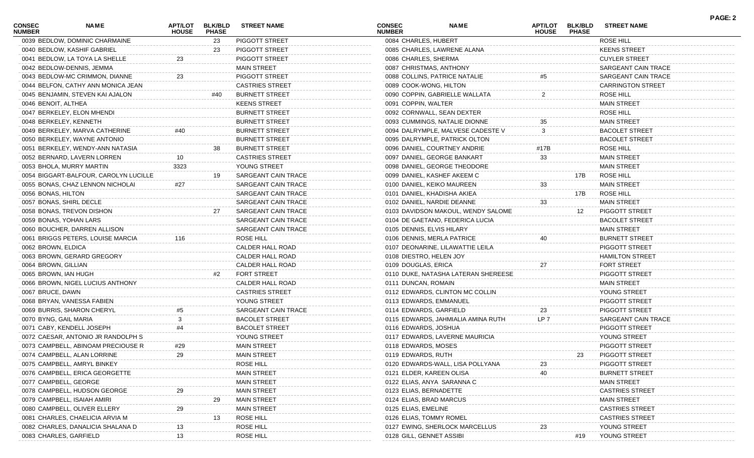| <b>CONSEC</b><br><b>NUMBER</b> | <b>NAME</b>                           | APT/LOT<br><b>HOUSE</b> | <b>BLK/BLD</b><br><b>PHASE</b> | <b>STREET NAME</b>     | <b>CONSEC</b><br><b>NUMBER</b> | <b>NAME</b>                         | <b>APT/LOT</b><br><b>HOUSE</b> | <b>BLK/BLD</b><br><b>PHASE</b> | <b>STREET NAME</b>       | <b>PAGE: 2</b> |
|--------------------------------|---------------------------------------|-------------------------|--------------------------------|------------------------|--------------------------------|-------------------------------------|--------------------------------|--------------------------------|--------------------------|----------------|
|                                | 0039 BEDLOW, DOMINIC CHARMAINE        |                         | 23                             | PIGGOTT STREET         | 0084 CHARLES, HUBERT           |                                     |                                |                                | <b>ROSE HILL</b>         |                |
|                                | 0040 BEDLOW, KASHIF GABRIEL           |                         | 23                             | PIGGOTT STREET         |                                | 0085 CHARLES, LAWRENE ALANA         |                                |                                | <b>KEENS STREET</b>      |                |
|                                | 0041 BEDLOW, LA TOYA LA SHELLE        | 23                      |                                | PIGGOTT STREET         | 0086 CHARLES, SHERMA           |                                     |                                |                                | <b>CUYLER STREET</b>     |                |
|                                | 0042 BEDLOW-DENNIS, JEMMA             |                         |                                | <b>MAIN STREET</b>     |                                | 0087 CHRISTMAS, ANTHONY             |                                |                                | SARGEANT CAIN TRACE      |                |
|                                | 0043 BEDLOW-MC CRIMMON, DIANNE        | 23                      |                                | PIGGOTT STREET         |                                | 0088 COLLINS, PATRICE NATALIE       |                                |                                | SARGEANT CAIN TRACE      |                |
|                                | 0044 BELFON, CATHY ANN MONICA JEAN    |                         |                                | <b>CASTRIES STREET</b> | 0089 COOK-WONG, HILTON         |                                     |                                |                                | <b>CARRINGTON STREET</b> |                |
|                                | 0045 BENJAMIN, STEVEN KAI AJALON      |                         | #40                            | <b>BURNETT STREET</b>  |                                | 0090 COPPIN, GABRIELLE WALLATA      |                                |                                | ROSE HILL                |                |
| 0046 BENOIT, ALTHEA            |                                       |                         |                                | <b>KEENS STREET</b>    | 0091 COPPIN, WALTER            |                                     |                                |                                | <b>MAIN STREET</b>       |                |
|                                | 0047 BERKELEY, ELON MHENDI            |                         |                                | <b>BURNETT STREET</b>  |                                | 0092 CORNWALL, SEAN DEXTER          |                                |                                | ROSE HILL                |                |
|                                | 0048 BERKELEY, KENNETH                |                         |                                | <b>BURNETT STREET</b>  |                                | 0093 CUMMINGS, NATALIE DIONNE       | 35                             |                                | <b>MAIN STREET</b>       |                |
|                                | 0049 BERKELEY, MARVA CATHERINE        | #40                     |                                | <b>BURNETT STREET</b>  |                                | 0094 DALRYMPLE, MALVESE CADESTE V   | 3                              |                                | <b>BACOLET STREET</b>    |                |
|                                | 0050 BERKELEY, WAYNE ANTONIO          |                         |                                | <b>BURNETT STREET</b>  |                                | 0095 DALRYMPLE, PATRICK OLTON       |                                |                                | <b>BACOLET STREET</b>    |                |
|                                | 0051 BERKELEY, WENDY-ANN NATASIA      |                         |                                | <b>BURNETT STREET</b>  |                                | 0096 DANIEL, COURTNEY ANDRIE        | #17B                           |                                | ROSE HILL                |                |
|                                | 0052 BERNARD, LAVERN LORREN           | 10                      |                                | <b>CASTRIES STREET</b> |                                | 0097 DANIEL, GEORGE BANKART         | 33                             |                                | <b>MAIN STREET</b>       |                |
|                                | 0053 BHOLA, MURRY MARTIN              | 3323                    |                                | YOUNG STREET           |                                | 0098 DANIEL, GEORGE THEODORE        |                                |                                | <b>MAIN STREET</b>       |                |
|                                | 0054 BIGGART-BALFOUR, CAROLYN LUCILLE |                         | 19                             | SARGEANT CAIN TRACE    |                                | 0099 DANIEL, KASHEF AKEEM C         |                                | 17B                            | ROSE HILL                |                |
|                                | 0055 BONAS, CHAZ LENNON NICHOLAI      | #27                     |                                | SARGEANT CAIN TRACE    |                                | 0100 DANIEL, KEIKO MAUREEN          | 33                             |                                | <b>MAIN STREET</b>       |                |
| 0056 BONAS, HILTON             |                                       |                         |                                | SARGEANT CAIN TRACE    |                                | 0101 DANIEL, KHADISHA AKIEA         |                                | 17B                            | ROSE HILL                |                |
|                                |                                       |                         |                                |                        |                                |                                     | 33                             |                                |                          |                |
|                                | 0057 BONAS, SHIRL DECLE               |                         |                                | SARGEANT CAIN TRACE    |                                | 0102 DANIEL, NARDIE DEANNE          |                                |                                | <b>MAIN STREET</b>       |                |
|                                | 0058 BONAS, TREVON DISHON             |                         | 27                             | SARGEANT CAIN TRACE    |                                | 0103 DAVIDSON MAKOUL, WENDY SALOME  |                                | 12                             | <b>PIGGOTT STREET</b>    |                |
|                                | 0059 BONAS, YOHAN LARS                |                         |                                | SARGEANT CAIN TRACE    |                                | 0104 DE GAETANO, FEDERICA LUCIA     |                                |                                | <b>BACOLET STREET</b>    |                |
|                                | 0060 BOUCHER, DARREN ALLISON          |                         |                                | SARGEANT CAIN TRACE    |                                | 0105 DENNIS, ELVIS HILARY           |                                |                                | <b>MAIN STREET</b>       |                |
|                                | 0061 BRIGGS PETERS, LOUISE MARCIA     | 116                     |                                | ROSE HILL              |                                | 0106 DENNIS, MERLA PATRICE          | 40                             |                                | <b>BURNETT STREET</b>    |                |
| 0062 BROWN, ELDICA             |                                       |                         |                                | CALDER HALL ROAD       |                                | 0107 DEONARINE, LILAWATTIE LEILA    |                                |                                | <b>PIGGOTT STREET</b>    |                |
|                                | 0063 BROWN, GERARD GREGORY            |                         |                                | CALDER HALL ROAD       | 0108 DIESTRO, HELEN JOY        |                                     |                                |                                | <b>HAMILTON STREET</b>   |                |
| 0064 BROWN, GILLIAN            |                                       |                         |                                | CALDER HALL ROAD       | 0109 DOUGLAS, ERICA            |                                     | 27                             |                                | <b>FORT STREET</b>       |                |
| 0065 BROWN, IAN HUGH           |                                       |                         | #2                             | <b>FORT STREET</b>     |                                | 0110 DUKE, NATASHA LATERAN SHEREESE |                                |                                | <b>PIGGOTT STREET</b>    |                |
|                                | 0066 BROWN, NIGEL LUCIUS ANTHONY      |                         |                                | CALDER HALL ROAD       | 0111 DUNCAN, ROMAIN            |                                     |                                |                                | <b>MAIN STREET</b>       |                |
| 0067 BRUCE, DAWN               |                                       |                         |                                | <b>CASTRIES STREET</b> |                                | 0112 EDWARDS, CLINTON MC COLLIN     |                                |                                | YOUNG STREET             |                |
|                                | 0068 BRYAN, VANESSA FABIEN            |                         |                                | YOUNG STREET           |                                | 0113 EDWARDS, EMMANUEL              |                                |                                | <b>PIGGOTT STREET</b>    |                |
|                                | 0069 BURRIS, SHARON CHERYL            |                         |                                | SARGEANT CAIN TRACE    | 0114 EDWARDS, GARFIELD         |                                     | 23                             |                                | <b>PIGGOTT STREET</b>    |                |
| 0070 BYNG, GAIL MARIA          |                                       |                         |                                | <b>BACOLET STREET</b>  |                                | 0115 EDWARDS, JAHMIALIA AMINA RUTH  | LP 7                           |                                | SARGEANT CAIN TRACE      |                |
|                                | 0071 CABY, KENDELL JOSEPH             |                         |                                | <b>BACOLET STREET</b>  | 0116 EDWARDS, JOSHUA           |                                     |                                |                                | <b>PIGGOTT STREET</b>    |                |
|                                | 0072 CAESAR, ANTONIO JR RANDOLPH S    |                         |                                | YOUNG STREET           |                                | 0117 EDWARDS, LAVERNE MAURICIA      |                                |                                | YOUNG STREET             |                |
|                                | 0073 CAMPBELL, ABINOAM PRECIOUSE R    | #29                     |                                | <b>MAIN STREET</b>     | 0118 EDWARDS, MOSES            |                                     |                                |                                | PIGGOTT STREET           |                |
|                                | 0074 CAMPBELL, ALAN LORRINE           | 29                      |                                | <b>MAIN STREET</b>     | 0119 EDWARDS, RUTH             |                                     |                                | 23                             | PIGGOTT STREET           |                |
|                                | 0075 CAMPBELL, AMRYL BINKEY           |                         |                                | ROSE HILL              |                                | 0120 EDWARDS-WALL, LISA POLLYANA    | 23                             |                                | <b>PIGGOTT STREET</b>    |                |
|                                | 0076 CAMPBELL, ERICA GEORGETTE        |                         |                                | <b>MAIN STREET</b>     |                                | 0121 ELDER, KAREEN OLISA            | 40                             |                                | <b>BURNETT STREET</b>    |                |
|                                | 0077 CAMPBELL, GEORGE                 |                         |                                | <b>MAIN STREET</b>     |                                | 0122 ELIAS, ANYA SARANNA C          |                                |                                | <b>MAIN STREET</b>       |                |
|                                | 0078 CAMPBELL, HUDSON GEORGE          |                         |                                | <b>MAIN STREET</b>     | 0123 ELIAS, BERNADETTE         |                                     |                                |                                | <b>CASTRIES STREE</b>    |                |
|                                | 0079 CAMPBELL, ISAIAH AMIRI           |                         | 29                             | <b>MAIN STREET</b>     | 0124 ELIAS, BRAD MARCUS        |                                     |                                |                                | <b>MAIN STREET</b>       |                |
|                                | 0080 CAMPBELL, OLIVER ELLERY          | 29                      |                                | <b>MAIN STREET</b>     | 0125 ELIAS, EMELINE            |                                     |                                |                                | <b>CASTRIES STREET</b>   |                |
|                                | 0081 CHARLES, CHAELICIA ARVIA M       |                         |                                | ROSE HILL              | 0126 ELIAS, TOMMY ROMEL        |                                     |                                |                                | <b>CASTRIES STREET</b>   |                |
|                                | 0082 CHARLES, DANALICIA SHALANA D     | 13                      |                                | <b>ROSE HILL</b>       |                                | 0127 EWING, SHERLOCK MARCELLUS      |                                |                                | YOUNG STREET             |                |
| 0083 CHARLES, GARFIELD         |                                       | 13                      |                                | ROSE HILL              | 0128 GILL, GENNET ASSIBI       |                                     |                                | #19                            | YOUNG STREET             |                |
|                                |                                       |                         |                                |                        |                                |                                     |                                |                                |                          |                |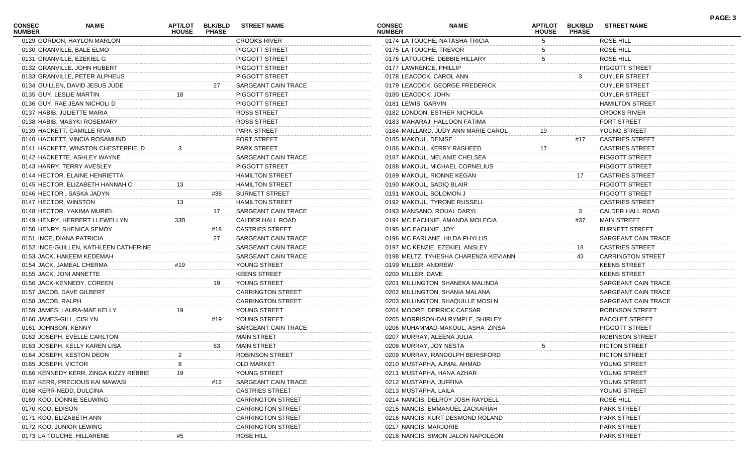| <b>CONSEC</b><br><b>NUMBER</b> | NAME                                  | APT/LOT<br><b>HOUSE</b> | <b>BLK/BLD</b><br><b>PHASE</b> | <b>STREET NAME</b>       | <b>CONSEC</b><br><b>NUMBER</b> | <b>NAME</b>                          | APT/LOT<br><b>HOUSE</b> | <b>BLK/BLD</b><br><b>PHASE</b> | <b>STREET NAME</b>       | PAGE: 3 |
|--------------------------------|---------------------------------------|-------------------------|--------------------------------|--------------------------|--------------------------------|--------------------------------------|-------------------------|--------------------------------|--------------------------|---------|
|                                | 0129 GORDON, HAYLON MARLON            |                         |                                | <b>CROOKS RIVER</b>      |                                | 0174 LA TOUCHE, NATASHA TRICIA       | 5                       |                                | ROSE HILL                |         |
|                                | 0130 GRANVILLE, BALE ELMO             |                         |                                | <b>PIGGOTT STREET</b>    | 0175 LA TOUCHE, TREVOR         |                                      |                         |                                | ROSE HILL                |         |
|                                | 0131 GRANVILLE, EZEKIEL G             |                         |                                | PIGGOTT STREET           |                                | 0176 LATOUCHE, DEBBIE HILLARY        | 5                       |                                | ROSE HILL                |         |
|                                | 0132 GRANVILLE, JOHN HUBERT           |                         |                                | PIGGOTT STREET           | 0177 LAWRENCE, PHILLIP         |                                      |                         |                                | PIGGOTT STREET           |         |
|                                | 0133 GRANVILLE, PETER ALPHEUS         |                         |                                | PIGGOTT STREET           | 0178 LEACOCK, CAROL ANN        |                                      |                         | 3                              | <b>CUYLER STREET</b>     |         |
|                                | 0134 GUILLEN, DAVID JESUS JUDE        |                         | 27                             | SARGEANT CAIN TRACE      |                                | 0179 LEACOCK, GEORGE FREDERICK       |                         |                                | <b>CUYLER STREET</b>     |         |
|                                | 0135 GUY, LESLIE MARTIN               | 18                      |                                | PIGGOTT STREET           | 0180 LEACOCK, JOHN             |                                      |                         |                                | <b>CUYLER STREET</b>     |         |
|                                | 0136 GUY, RAE JEAN NICHOLI D          |                         |                                | PIGGOTT STREET           | 0181 LEWIS, GARVIN             |                                      |                         |                                | <b>HAMILTON STREET</b>   |         |
|                                | 0137 HABIB, JULIETTE MARIA            |                         |                                | <b>ROSS STREET</b>       |                                | 0182 LONDON, ESTHER NICHOLA          |                         |                                | <b>CROOKS RIVER</b>      |         |
|                                | 0138 HABIB, MASYKI ROSEMARY           |                         |                                | <b>ROSS STREET</b>       |                                | 0183 MAHARAJ, HALLOON FATIMA         |                         |                                | <b>FORT STREET</b>       |         |
|                                | 0139 HACKETT, CAMILLE RIVA            |                         |                                | PARK STREET              |                                | 0184 MAILLARD, JUDY ANN MARIE CAROL  |                         |                                | YOUNG STREET             |         |
|                                | 0140 HACKETT, VINCIA ROSAMUND         |                         |                                | FORT STREET              | 0185 MAKOUL, DENISE            |                                      |                         | #17                            | <b>CASTRIES STREET</b>   |         |
|                                | 0141 HACKETT, WINSTON CHESTERFIELD    |                         |                                | PARK STREET              |                                | 0186 MAKOUL, KERRY RASHEED           | 17                      |                                | <b>CASTRIES STREET</b>   |         |
|                                | 0142 HACKETTE, ASHLEY WAYNE           |                         |                                | SARGEANT CAIN TRACE      |                                | 0187 MAKOUL, MELANIE CHELSEA         |                         |                                | PIGGOTT STREET           |         |
|                                | 0143 HARRY, TERRY AVESLEY             |                         |                                | PIGGOTT STREET           |                                | 0188 MAKOUL, MICHAEL CORNELIUS       |                         |                                | PIGGOTT STREET           |         |
|                                | 0144 HECTOR, ELAINE HENRIETTA         |                         |                                | <b>HAMILTON STREET</b>   | 0189 MAKOUL, RIONNE KEGAN      |                                      |                         | 17                             | <b>CASTRIES STREET</b>   |         |
|                                | 0145 HECTOR, ELIZABETH HANNAH C       | 13                      |                                | <b>HAMILTON STREET</b>   | 0190 MAKOUL, SADIQ BLAIR       |                                      |                         |                                | PIGGOTT STREET           |         |
|                                | 0146 HECTOR, SASKA JADYN              |                         | #38                            | <b>BURNETT STREET</b>    | 0191 MAKOUL, SOLOMON J         |                                      |                         |                                | PIGGOTT STREET           |         |
| 0147 HECTOR, WINSTON           |                                       | 13                      |                                | <b>HAMILTON STREET</b>   |                                | 0192 MAKOUL, TYRONE RUSSELL          |                         |                                | <b>CASTRIES STREET</b>   |         |
|                                | 0148 HECTOR, YAKIMA MURIEL            |                         | 17                             | SARGEANT CAIN TRACE      | 0193 MANSANO, ROUAL DARYL      |                                      |                         | 3                              | CALDER HALL ROAD         |         |
|                                | 0149 HENRY, HERBERT LLEWELLYN         | 33B                     |                                | CALDER HALL ROAD         |                                | 0194 MC EACHNIE, AMANDA MOLECIA      |                         | #37                            | <b>MAIN STREET</b>       |         |
|                                | 0150 HENRY, SHENICA SEMOY             |                         | #18                            | <b>CASTRIES STREET</b>   | 0195 MC EACHNIE, JOY           |                                      |                         |                                | <b>BURNETT STREET</b>    |         |
|                                | 0151 INCE, DIANA PATRICIA             |                         | 27                             | SARGEANT CAIN TRACE      |                                | 0196 MC FARLANE, HILDA PHYLLIS       |                         |                                | SARGEANT CAIN TRACE      |         |
|                                | 0152 INCE-GUILLEN, KATHLEEN CATHERINE |                         |                                | SARGEANT CAIN TRACE      |                                | 0197 MC KENZIE, EZEKIEL ANSLEY       |                         | 18                             | <b>CASTRIES STREET</b>   |         |
|                                | 0153 JACK, HAKEEM KEDEMAH             |                         |                                | SARGEANT CAIN TRACE      |                                | 0198 MELTZ, TYHESHA CHARENZA KEVIANN |                         | 43                             | <b>CARRINGTON STREET</b> |         |
|                                | 0154 JACK, JAMEAL CHERMA              | #19                     |                                | YOUNG STREET             | 0199 MILLER, ANDREW            |                                      |                         |                                | <b>KEENS STREET</b>      |         |
|                                |                                       |                         |                                | <b>KEENS STREET</b>      | 0200 MILLER, DAVE              |                                      |                         |                                |                          |         |
|                                | 0155 JACK, JONI ANNETTE               |                         |                                |                          |                                |                                      |                         |                                | <b>KEENS STREET</b>      |         |
|                                | 0156 JACK-KENNEDY, COREEN             |                         | 19                             | YOUNG STREET             |                                | 0201 MILLINGTON, SHANEKA MALINDA     |                         |                                | SARGEANT CAIN TRACE      |         |
|                                | 0157 JACOB, DAVE GILBERT              |                         |                                | <b>CARRINGTON STREET</b> |                                | 0202 MILLINGTON, SHANIA MALANA       |                         |                                | SARGEANT CAIN TRACE      |         |
| 0158 JACOB, RALPH              |                                       |                         |                                | <b>CARRINGTON STREET</b> |                                | 0203 MILLINGTON, SHAQUILLE MOSIN     |                         |                                | SARGEANT CAIN TRACE      |         |
|                                | 0159 JAMES, LAURA-MAE KELLY           | 19                      |                                | YOUNG STREET             |                                | 0204 MOORE, DERRICK CAESAR           |                         |                                | <b>ROBINSON STREET</b>   |         |
| 0160 JAMES-GILL, CISLYN        |                                       |                         | #19                            | YOUNG STREET             |                                | 0205 MORRISON-DALRYMPLE, SHIRLEY     |                         |                                | <b>BACOLET STREET</b>    |         |
| 0161 JOHNSON, KENNY            |                                       |                         |                                | SARGEANT CAIN TRACE      |                                | 0206 MUHAMMAD-MAKOUL, ASHA ZINSA     |                         |                                | PIGGOTT STREET           |         |
|                                | 0162 JOSEPH, EVELLE CARLTON           |                         |                                | <b>MAIN STREET</b>       | 0207 MURRAY, ALEENA JULIA      |                                      |                         |                                | <b>ROBINSON STREET</b>   |         |
|                                | 0163 JOSEPH, KELLY KAREN LISA         |                         | 63                             | <b>MAIN STREET</b>       | 0208 MURRAY, JOY NESTA         |                                      | 5                       |                                | PICTON STREET            |         |
|                                | 0164 JOSEPH, KESTON DEON              |                         |                                | <b>ROBINSON STREET</b>   |                                | 0209 MURRAY, RANDOLPH BERISFORD      |                         |                                | PICTON STREET            |         |
| 0165 JOSEPH, VICTOR            |                                       |                         |                                | <b>OLD MARKET</b>        |                                | 0210 MUSTAPHA, AJMAL AHMAD           |                         |                                | YOUNG STREET             |         |
|                                | 0166 KENNEDY KERR, ZINGA KIZZY REBBIE | 19                      |                                | YOUNG STREET             | 0211 MUSTAPHA, HANA AZHAR      |                                      |                         |                                | YOUNG STREET             |         |
|                                | 0167 KERR, PRECIOUS KAI MAWASI        |                         | #12                            | SARGEANT CAIN TRACE      | 0212 MUSTAPHA, JUFFINA         |                                      |                         |                                | YOUNG STREET             |         |
|                                | 0168 KERR-NEDD, DULCINA               |                         |                                | <b>CASTRIES STREET</b>   | 0213 MUSTAPHA, LAILA           |                                      |                         |                                | YOUNG STREET             |         |
|                                | 0169 KOO, DONNIE SEUWING              |                         |                                | <b>CARRINGTON STREET</b> |                                | 0214 NANCIS, DELROY JOSH RAYDELI     |                         |                                | ROSE HILL                |         |
| 0170 KOO, EDISON               |                                       |                         |                                | <b>CARRINGTON STREET</b> |                                | 0215 NANCIS, EMMANUEL ZACKARIAH      |                         |                                | PARK STREET              |         |
|                                | 0171 KOO, ELIZABETH ANN               |                         |                                | <b>CARRINGTON STREET</b> |                                | 0216 NANCIS, KURT DESMOND ROLAND     |                         |                                | <b>PARK STREET</b>       |         |
|                                | 0172 KOO, JUNIOR LEWING               |                         |                                | <b>CARRINGTON STREET</b> | 0217 NANCIS, MARJORIE          |                                      |                         |                                | <b>PARK STREET</b>       |         |
|                                | 0173 LA TOUCHE, HILLARENE             |                         |                                | ROSE HILL                |                                | 0218 NANCIS, SIMON JALON NAPOLEON    |                         |                                | <b>PARK STREET</b>       |         |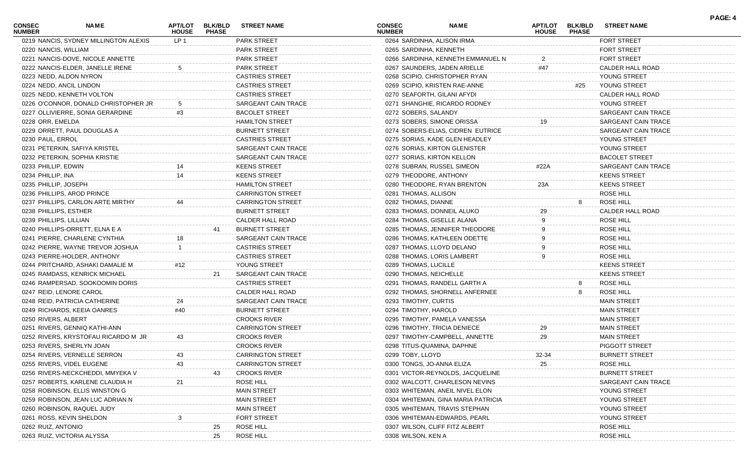| <b>CONSEC</b><br><b>NUMBER</b> | <b>NAME</b>                           | <b>HOUSE</b>    | <b>PHASE</b> | APT/LOT BLK/BLD STREET NAME | <b>CONSEC</b><br><b>NUMBER</b> |                           | <b>NAME</b>                        | <b>APT/LOT</b><br><b>HOUSE</b> | <b>BLK/BLD</b><br><b>PHASE</b> | <b>STREET NAME</b>    |
|--------------------------------|---------------------------------------|-----------------|--------------|-----------------------------|--------------------------------|---------------------------|------------------------------------|--------------------------------|--------------------------------|-----------------------|
|                                | 0219 NANCIS, SYDNEY MILLINGTON ALEXIS | LP <sub>1</sub> |              | <b>PARK STREET</b>          |                                |                           | 0264 SARDINHA, ALISON IRMA         |                                |                                | FORT STREET           |
| 0220 NANCIS, WILLIAM           |                                       |                 |              | <b>PARK STREET</b>          |                                | 0265 SARDINHA, KENNETH    |                                    |                                |                                | FORT STREET           |
|                                | 0221 NANCIS-DOVE, NICOLE ANNETTE      |                 |              | <b>PARK STREET</b>          |                                |                           | 0266 SARDINHA, KENNETH EMMANUEL N  | 2                              |                                | <b>FORT STREET</b>    |
|                                | 0222 NANCIS-ELDER, JANELLE IRENE      |                 |              | PARK STREET                 |                                |                           | 0267 SAUNDERS, JADEN ARIELLE       | #47                            |                                | CALDER HALL ROAD      |
|                                | 0223 NEDD, ALDON NYRON                |                 |              | <b>CASTRIES STREET</b>      |                                |                           | 0268 SCIPIO, CHRISTOPHER RYAN      |                                |                                | YOUNG STREET          |
|                                | 0224 NEDD, ANCIL LINDON               |                 |              | <b>CASTRIES STREET</b>      |                                |                           | 0269 SCIPIO, KRISTEN RAE-ANNE      |                                | #25                            | YOUNG STREET          |
|                                | 0225 NEDD, KENNETH VOLTON             |                 |              | <b>CASTRIES STREET</b>      |                                |                           | 0270 SEAFORTH, GILANI AFYDI        |                                |                                | CALDER HALL ROAD      |
|                                | 0226 O'CONNOR, DONALD CHRISTOPHER JR  |                 |              | SARGEANT CAIN TRACE         |                                |                           | 0271 SHANGHIE, RICARDO RODNEY      |                                |                                | YOUNG STREET          |
|                                | 0227 OLLIVIERRE, SONIA GERARDINE      | #3              |              | <b>BACOLET STREET</b>       |                                | 0272 SOBERS, SALANDY      |                                    |                                |                                | SARGEANT CAIN TRACE   |
| 0228 ORR, EMELDA               |                                       |                 |              | <b>HAMILTON STREET</b>      |                                |                           | 0273 SOBERS, SIMONE ORISSA         | 19                             |                                | SARGEANT CAIN TRACE   |
|                                | 0229 ORRETT, PAUL DOUGLAS A           |                 |              | <b>BURNETT STREET</b>       |                                |                           | 0274 SOBERS-ELIAS, CIDREN EUTRICE  |                                |                                | SARGEANT CAIN TRACE   |
| 0230 PAUL, ERROL               |                                       |                 |              | <b>CASTRIES STREET</b>      |                                |                           | 0275 SORIAS, KADE GLEN HEADLEY     |                                |                                | YOUNG STREET          |
|                                | 0231 PETERKIN, SAFIYA KRISTEL         |                 |              | SARGEANT CAIN TRACE         |                                |                           | 0276 SORIAS, KIRTON GLENISTER      |                                |                                | YOUNG STREET          |
|                                | 0232 PETERKIN, SOPHIA KRISTIE         |                 |              | SARGEANT CAIN TRACE         |                                |                           | 0277 SORIAS, KIRTON KELLON         |                                |                                | <b>BACOLET STREET</b> |
| 0233 PHILLIP, EDWIN            |                                       | 14              |              | <b>KEENS STREET</b>         |                                |                           | 0278 SUBRAN, RUSSEL SIMEON         | #22A                           |                                | SARGEANT CAIN TRACE   |
| 0234 PHILLIP, INA              |                                       | 14              |              | <b>KEENS STREET</b>         |                                | 0279 THEODORE, ANTHONY    |                                    |                                |                                | <b>KEENS STREET</b>   |
| 0235 PHILLIP, JOSEPH           |                                       |                 |              | <b>HAMILTON STREET</b>      |                                |                           | 0280 THEODORE, RYAN BRENTON        | 23A                            |                                | <b>KEENS STREET</b>   |
|                                | 0236 PHILLIPS, AROD PRINCE            |                 |              | <b>CARRINGTON STREET</b>    |                                | 0281 THOMAS, ALLISON      |                                    |                                |                                | <b>ROSE HILL</b>      |
|                                | 0237 PHILLIPS, CARLON ARTE MIRTHY     |                 |              | <b>CARRINGTON STREET</b>    |                                | 0282 THOMAS, DIANNE       |                                    |                                |                                | ROSE HILL             |
| 0238 PHILLIPS, ESTHER          |                                       |                 |              | <b>BURNETT STREET</b>       |                                |                           | 0283 THOMAS, DONNEIL ALUKO         | 29                             |                                | CALDER HALL ROAD      |
| 0239 PHILLIPS, LILLIAN         |                                       |                 |              | CALDER HALL ROAD            |                                |                           | 0284 THOMAS, GISELLE ALANA         |                                |                                | <b>ROSE HILL</b>      |
|                                | 0240 PHILLIPS-ORRETT, ELNA E A        |                 | 41           | <b>BURNETT STREET</b>       |                                |                           | 0285 THOMAS, JENNIFER THEODORE     |                                |                                | <b>ROSE HILL</b>      |
|                                | 0241 PIERRE, CHARLENE CYNTHIA         | 18              |              | SARGEANT CAIN TRACE         |                                |                           | 0286 THOMAS, KATHLEEN ODETTE       | 9                              |                                | <b>ROSE HILL</b>      |
|                                | 0242 PIERRE, WAYNE TREVOR JOSHUA      |                 |              | <b>CASTRIES STREET</b>      |                                |                           | 0287 THOMAS, LLOYD DELANO          | 9                              |                                | <b>ROSE HILL</b>      |
|                                | 0243 PIERRE-HOLDER, ANTHONY           |                 |              | <b>CASTRIES STREET</b>      |                                |                           | 0288 THOMAS, LORIS LAMBERT         | 9                              |                                | <b>ROSE HILL</b>      |
|                                | 0244 PRITCHARD, ASHAKI DAMALIE M      | #12             |              | YOUNG STREET                |                                | 0289 THOMAS, LUCILLE      |                                    |                                |                                | <b>KEENS STREET</b>   |
|                                | 0245 RAMDASS, KENRICK MICHAEL         |                 | 21           | SARGEANT CAIN TRACE         |                                | 0290 THOMAS, NEICHELLE    |                                    |                                |                                | <b>KEENS STREET</b>   |
|                                | 0246 RAMPERSAD, SOOKOOMIN DORIS       |                 |              | <b>CASTRIES STREET</b>      |                                |                           | 0291 THOMAS, RANDELL GARTH A       |                                |                                | <b>ROSE HILL</b>      |
|                                | 0247 REID, LENORE CAROL               |                 |              | CALDER HALL ROAD            |                                |                           | 0292 THOMAS, SHORNELL ANFERNEE     |                                |                                | <b>ROSE HILL</b>      |
|                                | 0248 REID, PATRICIA CATHERINE         | 24              |              | SARGEANT CAIN TRACE         |                                | 0293 TIMOTHY, CURTIS      |                                    |                                |                                | <b>MAIN STREET</b>    |
|                                | 0249 RICHARDS, KEEIA OANRES           | #40             |              | <b>BURNETT STREET</b>       |                                | 0294 TIMOTHY, HAROLD      |                                    |                                |                                | <b>MAIN STREET</b>    |
| 0250 RIVERS, ALBERT            |                                       |                 |              | <b>CROOKS RIVER</b>         |                                |                           | 0295 TIMOTHY, PAMELA VANESSA       |                                |                                | <b>MAIN STREET</b>    |
|                                | 0251 RIVERS, GENNIQ KATHI-ANN         |                 |              | <b>CARRINGTON STREET</b>    |                                |                           | 0296 TIMOTHY, TRICIA DENIECE       | 29                             |                                | <b>MAIN STREET</b>    |
|                                | 0252 RIVERS, KRYSTOFAU RICARDO M JR   | 43              |              | <b>CROOKS RIVER</b>         |                                |                           | 0297 TIMOTHY-CAMPBELL, ANNETTE     | 29                             |                                | <b>MAIN STREET</b>    |
|                                | 0253 RIVERS, SHERLYN JOAN             |                 |              | <b>CROOKS RIVER</b>         |                                |                           | 0298 TITUS-QUAMINA, DAPHNE         |                                |                                | PIGGOTT STREET        |
|                                | 0254 RIVERS, VERNELLE SERRON          |                 |              | <b>CARRINGTON STREET</b>    |                                | 0299 TOBY, LLOYD          |                                    | 32-34                          |                                | <b>BURNETT STREET</b> |
|                                | 0255 RIVERS, VIDEL EUGENE             | 43              |              | <b>CARRINGTON STREET</b>    |                                | 0300 TONGS, JO-ANNA ELIZA |                                    | 25                             |                                | ROSE HILL             |
|                                | 0256 RIVERS-NECKCHEDDI, MMYEKA V      |                 |              | <b>CROOKS RIVER</b>         |                                |                           | 0301 VICTOR-REYNOLDS, JACQUELINE   |                                |                                | <b>BURNETT STREET</b> |
|                                | 0257 ROBERTS, KARLENE CLAUDIA H       |                 |              | ROSE HILL                   |                                |                           | 0302 WALCOTT, CHARLESON NEVINS     |                                |                                | SARGEANT CAIN TRACE   |
|                                | 0258 ROBINSON, ELLIS WINSTON G        |                 |              | <b>MAIN STREET</b>          |                                |                           | 0303 WHITEMAN, ANEIL NIVEL ELON    |                                |                                | YOUNG STREET          |
|                                | 0259 ROBINSON, JEAN LUC ADRIAN N      |                 |              | <b>MAIN STREET</b>          |                                |                           | 0304 WHITEMAN, GINA MARIA PATRICIA |                                |                                | YOUNG STREET          |
|                                | 0260 ROBINSON, RAQUEL JUDY            |                 |              | <b>MAIN STREET</b>          |                                |                           | 0305 WHITEMAN, TRAVIS STEPHAN      |                                |                                | YOUNG STREET          |
|                                | 0261 ROSS, KEVIN SHELDON              |                 |              | <b>FORT STREET</b>          |                                |                           | 0306 WHITEMAN-EDWARDS, PEARL       |                                |                                | YOUNG STREET          |
| 0262 RUIZ, ANTONIO             |                                       |                 | 25           | ROSE HILL                   |                                |                           | 0307 WILSON, CLIFF FITZ ALBERT     |                                |                                | ROSE HILL             |
|                                | 0263 RUIZ, VICTORIA ALYSSA            |                 | 25           | ROSE HILL                   |                                | 0308 WILSON, KEN A        |                                    |                                |                                | ROSE HILL             |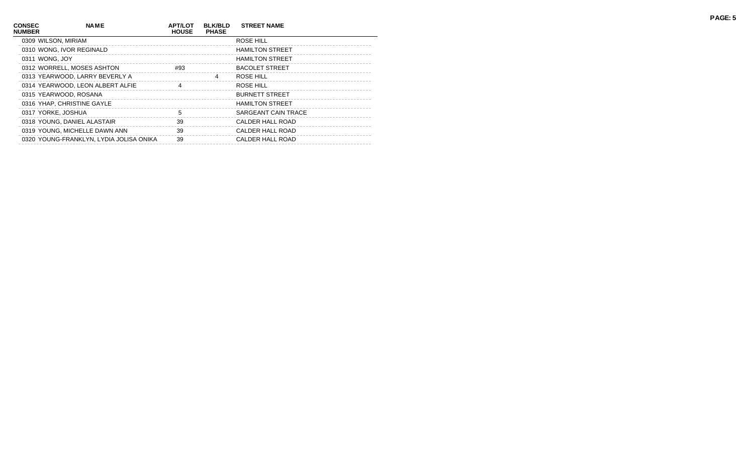| <b>CONSEC</b><br><b>NUMBER</b> | <b>NAME</b>                             | <b>APT/LOT</b><br><b>HOUSE</b> | <b>BLK/BLD</b><br><b>PHASE</b> | <b>STREET NAME</b>     |
|--------------------------------|-----------------------------------------|--------------------------------|--------------------------------|------------------------|
|                                | 0309 WILSON, MIRIAM                     |                                |                                | ROSE HILL              |
|                                | 0310 WONG, IVOR REGINALD                |                                |                                | <b>HAMILTON STREET</b> |
|                                | 0311 WONG, JOY                          |                                |                                | <b>HAMILTON STREET</b> |
|                                | 0312 WORRELL, MOSES ASHTON              | #93                            |                                | <b>BACOLET STREET</b>  |
|                                | 0313 YEARWOOD, LARRY BEVERLY A          |                                | 4                              | ROSE HILL              |
|                                | 0314 YEARWOOD, LEON ALBERT ALFIE        | 4                              |                                | ROSE HILL              |
|                                | 0315 YEARWOOD, ROSANA                   |                                |                                | <b>BURNETT STREET</b>  |
|                                | 0316 YHAP, CHRISTINE GAYLE              |                                |                                | <b>HAMILTON STREET</b> |
|                                | 0317 YORKE, JOSHUA                      | 5                              |                                | SARGEANT CAIN TRACE    |
|                                | 0318 YOUNG, DANIEL ALASTAIR             | 39                             |                                | CALDER HALL ROAD       |
|                                | 0319 YOUNG, MICHELLE DAWN ANN           | 39                             |                                | CALDER HALL ROAD       |
|                                | 0320 YOUNG-FRANKLYN, LYDIA JOLISA ONIKA | 39                             |                                | CALDER HALL ROAD       |
|                                |                                         |                                |                                |                        |